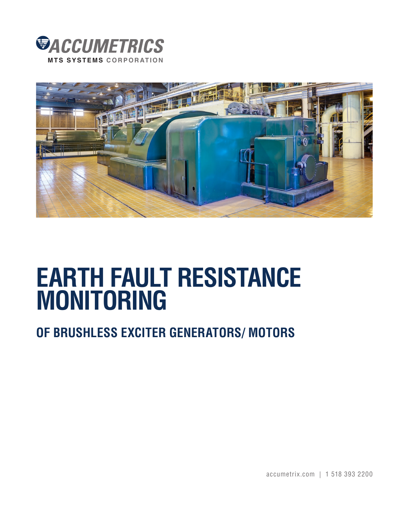



# **EARTH FAULT RESISTANCE MONITORING**

## **OF BRUSHLESS EXCITER GENERATORS/ MOTORS**

accumetrix.com | 1 518 393 2200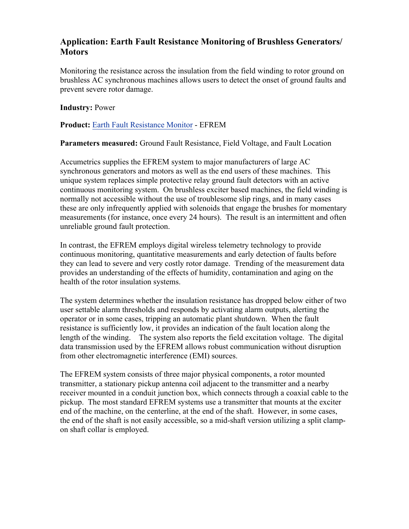#### **Application: Earth Fault Resistance Monitoring of Brushless Generators/ Motors**

Monitoring the resistance across the insulation from the field winding to rotor ground on brushless AC synchronous machines allows users to detect the onset of ground faults and prevent severe rotor damage.

#### **Industry:** Power

**Product:** [Earth Fault Resistance Monitor](http://www.accumetrix.com/GroundFaultProtection/AT8000) - EFREM

**Parameters measured:** Ground Fault Resistance, Field Voltage, and Fault Location

Accumetrics supplies the EFREM system to major manufacturers of large AC synchronous generators and motors as well as the end users of these machines. This unique system replaces simple protective relay ground fault detectors with an active continuous monitoring system. On brushless exciter based machines, the field winding is normally not accessible without the use of troublesome slip rings, and in many cases these are only infrequently applied with solenoids that engage the brushes for momentary measurements (for instance, once every 24 hours). The result is an intermittent and often unreliable ground fault protection.

In contrast, the EFREM employs digital wireless telemetry technology to provide continuous monitoring, quantitative measurements and early detection of faults before they can lead to severe and very costly rotor damage. Trending of the measurement data provides an understanding of the effects of humidity, contamination and aging on the health of the rotor insulation systems.

The system determines whether the insulation resistance has dropped below either of two user settable alarm thresholds and responds by activating alarm outputs, alerting the operator or in some cases, tripping an automatic plant shutdown. When the fault resistance is sufficiently low, it provides an indication of the fault location along the length of the winding. The system also reports the field excitation voltage. The digital data transmission used by the EFREM allows robust communication without disruption from other electromagnetic interference (EMI) sources.

The EFREM system consists of three major physical components, a rotor mounted transmitter, a stationary pickup antenna coil adjacent to the transmitter and a nearby receiver mounted in a conduit junction box, which connects through a coaxial cable to the pickup. The most standard EFREM systems use a transmitter that mounts at the exciter end of the machine, on the centerline, at the end of the shaft. However, in some cases, the end of the shaft is not easily accessible, so a mid-shaft version utilizing a split clampon shaft collar is employed.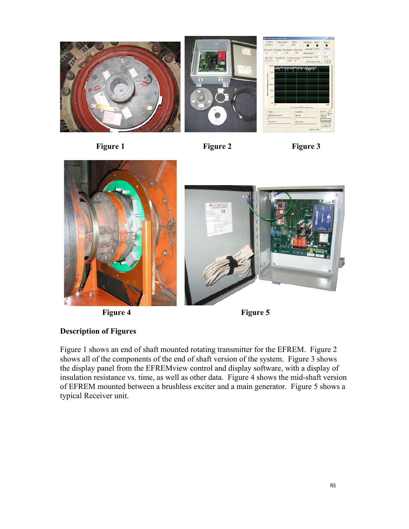







**Figure 4 Figure 5** 

### **Description of Figures**

Figure 1 shows an end of shaft mounted rotating transmitter for the EFREM. Figure 2 shows all of the components of the end of shaft version of the system. Figure 3 shows the display panel from the EFREMview control and display software, with a display of insulation resistance vs. time, as well as other data. Figure 4 shows the mid-shaft version of EFREM mounted between a brushless exciter and a main generator. Figure 5 shows a typical Receiver unit.